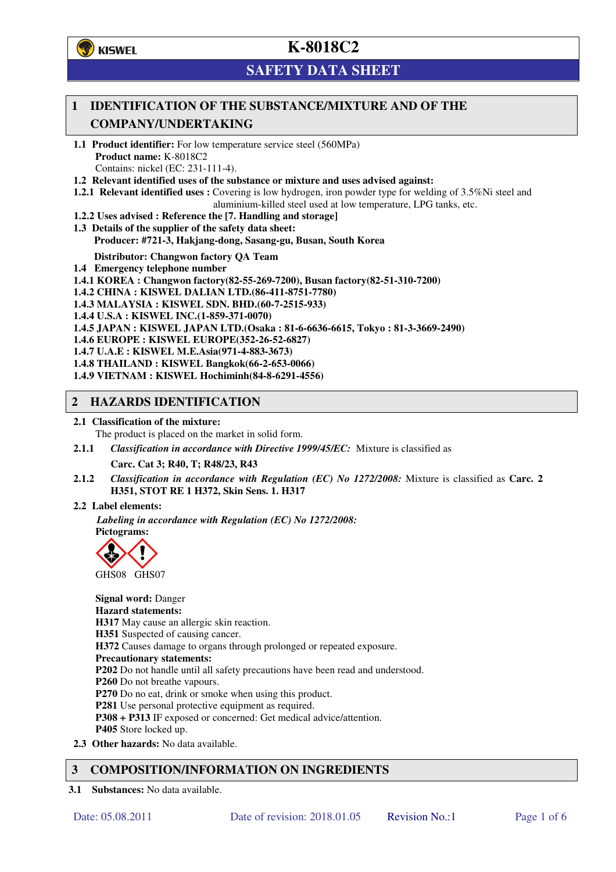**学**)KISWEL

# **K-8018C2**

# **SAFETY DATA SHEET**

### **1 IDENTIFICATION OF THE SUBSTANCE/MIXTURE AND OF THE COMPANY/UNDERTAKING**

- **1.1 Product identifier:** For low temperature service steel (560MPa) **Product name:** K-8018C2 Contains: nickel (EC: 231-111-4).
- **1.2 Relevant identified uses of the substance or mixture and uses advised against:**
- **1.2.1 Relevant identified uses :** Covering is low hydrogen, iron powder type for welding of 3.5%Ni steel and aluminium-killed steel used at low temperature, LPG tanks, etc.
- **1.2.2 Uses advised : Reference the [7. Handling and storage]**
- **1.3 Details of the supplier of the safety data sheet: Producer: #721-3, Hakjang-dong, Sasang-gu, Busan, South Korea**

**Distributor: Changwon factory QA Team** 

- **1.4 Emergency telephone number**
- **1.4.1 KOREA : Changwon factory(82-55-269-7200), Busan factory(82-51-310-7200)**
- **1.4.2 CHINA : KISWEL DALIAN LTD.(86-411-8751-7780)**
- **1.4.3 MALAYSIA : KISWEL SDN. BHD.(60-7-2515-933)**
- **1.4.4 U.S.A : KISWEL INC.(1-859-371-0070)**
- **1.4.5 JAPAN : KISWEL JAPAN LTD.(Osaka : 81-6-6636-6615, Tokyo : 81-3-3669-2490)**
- **1.4.6 EUROPE : KISWEL EUROPE(352-26-52-6827)**
- **1.4.7 U.A.E : KISWEL M.E.Asia(971-4-883-3673)**
- **1.4.8 THAILAND : KISWEL Bangkok(66-2-653-0066)**
- **1.4.9 VIETNAM : KISWEL Hochiminh(84-8-6291-4556)**

#### **2 HAZARDS IDENTIFICATION**

- **2.1 Classification of the mixture:** 
	- The product is placed on the market in solid form.
- **2.1.1** *Classification in accordance with Directive 1999/45/EC:* Mixture is classified as

**Carc. Cat 3; R40, T; R48/23, R43** 

- **2.1.2** *Classification in accordance with Regulation (EC) No 1272/2008:* Mixture is classified as **Carc. 2 H351, STOT RE 1 H372, Skin Sens. 1. H317**
- **2.2 Label elements:**

*Labeling in accordance with Regulation (EC) No 1272/2008:*  **Pictograms:** 



**Signal word:** Danger **Hazard statements: H317** May cause an allergic skin reaction. **H351** Suspected of causing cancer. **H372** Causes damage to organs through prolonged or repeated exposure. **Precautionary statements: P202** Do not handle until all safety precautions have been read and understood. **P260** Do not breathe vapours. **P270** Do no eat, drink or smoke when using this product. **P281** Use personal protective equipment as required. **P308 + P313** IF exposed or concerned: Get medical advice/attention. **P405** Store locked up. **2.3 Other hazards:** No data available.

### **3 COMPOSITION/INFORMATION ON INGREDIENTS**

**3.1 Substances:** No data available.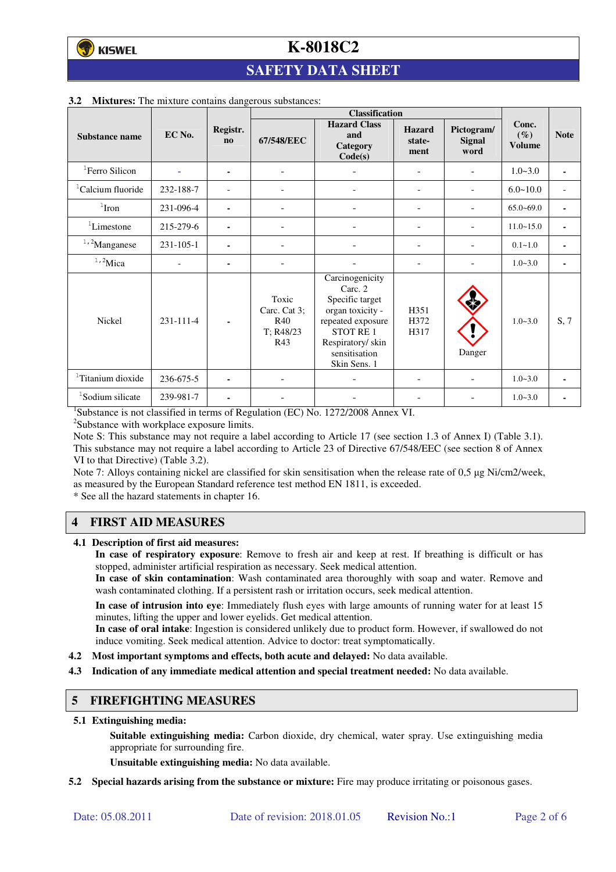## **SAFETY DATA SHEET**

|                               |                 |                          | <b>Classification</b>                                   |                                                                                                                                                         |                                 |                                     |                                  |                          |
|-------------------------------|-----------------|--------------------------|---------------------------------------------------------|---------------------------------------------------------------------------------------------------------------------------------------------------------|---------------------------------|-------------------------------------|----------------------------------|--------------------------|
| Substance name                | EC No.          | Registr.<br>$\mathbf{n}$ | 67/548/EEC                                              | <b>Hazard Class</b><br>and<br>Category<br>Code(s)                                                                                                       | <b>Hazard</b><br>state-<br>ment | Pictogram/<br><b>Signal</b><br>word | Conc.<br>$(\%)$<br><b>Volume</b> | <b>Note</b>              |
| <sup>1</sup> Ferro Silicon    |                 | ۰                        | $\overline{\phantom{a}}$                                |                                                                                                                                                         | ۰                               |                                     | $1.0 - 3.0$                      | $\sim$                   |
| <sup>1</sup> Calcium fluoride | 232-188-7       |                          |                                                         |                                                                                                                                                         | $\overline{\phantom{0}}$        |                                     | $6.0 - 10.0$                     | $\overline{\phantom{a}}$ |
| $1$ Iron                      | 231-096-4       | ۰                        |                                                         |                                                                                                                                                         | ÷                               |                                     | $65.0 - 69.0$                    | ٠                        |
| ${}^{1}$ Limestone            | 215-279-6       | ۰                        | $\blacksquare$                                          |                                                                                                                                                         | ۰                               |                                     | $11.0 - 15.0$                    | ٠                        |
| $1,2$ Manganese               | $231 - 105 - 1$ |                          |                                                         |                                                                                                                                                         |                                 |                                     | $0.1 - 1.0$                      |                          |
| $1,2$ Mica                    |                 | ۰                        |                                                         |                                                                                                                                                         |                                 |                                     | $1.0 - 3.0$                      | ٠                        |
| <b>Nickel</b>                 | 231-111-4       |                          | Toxic<br>Carc. Cat 3;<br><b>R40</b><br>T: R48/23<br>R43 | Carcinogenicity<br>Carc. 2<br>Specific target<br>organ toxicity -<br>repeated exposure<br>STOT RE1<br>Respiratory/skin<br>sensitisation<br>Skin Sens. 1 | H351<br>H372<br>H317            | Danger                              | $1.0 - 3.0$                      | S, 7                     |
| <sup>1</sup> Titanium dioxide | 236-675-5       |                          |                                                         |                                                                                                                                                         |                                 |                                     | $1.0 - 3.0$                      | ٠                        |
| <sup>1</sup> Sodium silicate  | 239-981-7       | ۰                        |                                                         |                                                                                                                                                         |                                 |                                     | $1.0 - 3.0$                      |                          |

#### **3.2 Mixtures:** The mixture contains dangerous substances:

<sup>1</sup>Substance is not classified in terms of Regulation (EC) No. 1272/2008 Annex VI.

<sup>2</sup>Substance with workplace exposure limits.

Note S: This substance may not require a label according to Article 17 (see section 1.3 of Annex I) (Table 3.1). This substance may not require a label according to Article 23 of Directive 67/548/EEC (see section 8 of Annex VI to that Directive) (Table 3.2).

Note 7: Alloys containing nickel are classified for skin sensitisation when the release rate of 0,5 µg Ni/cm2/week, as measured by the European Standard reference test method EN 1811, is exceeded.

\* See all the hazard statements in chapter 16.

### **4 FIRST AID MEASURES**

**4.1 Description of first aid measures:** 

**In case of respiratory exposure**: Remove to fresh air and keep at rest. If breathing is difficult or has stopped, administer artificial respiration as necessary. Seek medical attention.

**In case of skin contamination**: Wash contaminated area thoroughly with soap and water. Remove and wash contaminated clothing. If a persistent rash or irritation occurs, seek medical attention.

 **In case of intrusion into eye**: Immediately flush eyes with large amounts of running water for at least 15 minutes, lifting the upper and lower eyelids. Get medical attention.

**In case of oral intake**: Ingestion is considered unlikely due to product form. However, if swallowed do not induce vomiting. Seek medical attention. Advice to doctor: treat symptomatically.

- **4.2 Most important symptoms and effects, both acute and delayed:** No data available.
- **4.3 Indication of any immediate medical attention and special treatment needed:** No data available.

#### **5 FIREFIGHTING MEASURES**

**5.1 Extinguishing media:** 

**Suitable extinguishing media:** Carbon dioxide, dry chemical, water spray. Use extinguishing media appropriate for surrounding fire.

**Unsuitable extinguishing media:** No data available.

**5.2 Special hazards arising from the substance or mixture:** Fire may produce irritating or poisonous gases.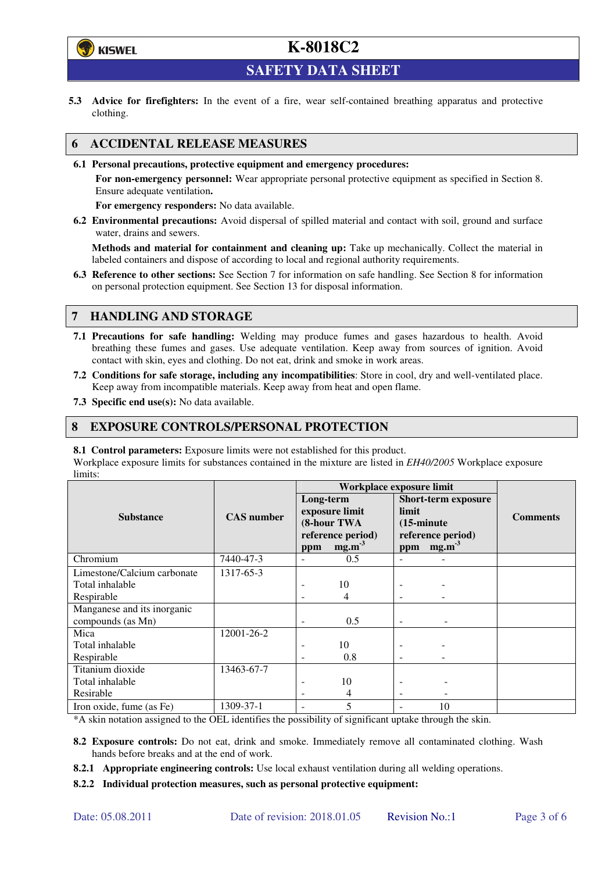

**SAFETY DATA SHEET** 

**5.3 Advice for firefighters:** In the event of a fire, wear self-contained breathing apparatus and protective clothing.

### **6 ACCIDENTAL RELEASE MEASURES**

**6.1 Personal precautions, protective equipment and emergency procedures:** 

**For non-emergency personnel:** Wear appropriate personal protective equipment as specified in Section 8. Ensure adequate ventilation**.** 

**For emergency responders:** No data available.

**6.2 Environmental precautions:** Avoid dispersal of spilled material and contact with soil, ground and surface water, drains and sewers.

**Methods and material for containment and cleaning up:** Take up mechanically. Collect the material in labeled containers and dispose of according to local and regional authority requirements.

**6.3 Reference to other sections:** See Section 7 for information on safe handling. See Section 8 for information on personal protection equipment. See Section 13 for disposal information.

### **7 HANDLING AND STORAGE**

- **7.1 Precautions for safe handling:** Welding may produce fumes and gases hazardous to health. Avoid breathing these fumes and gases. Use adequate ventilation. Keep away from sources of ignition. Avoid contact with skin, eyes and clothing. Do not eat, drink and smoke in work areas.
- **7.2 Conditions for safe storage, including any incompatibilities**: Store in cool, dry and well-ventilated place. Keep away from incompatible materials. Keep away from heat and open flame.
- **7.3 Specific end use(s):** No data available.

#### **8 EXPOSURE CONTROLS/PERSONAL PROTECTION**

**8.1 Control parameters:** Exposure limits were not established for this product.

Workplace exposure limits for substances contained in the mixture are listed in *EH40/2005* Workplace exposure limits:

|                             | <b>CAS</b> number | Workplace exposure limit                                        |                   |                                                                                  |                   |                 |  |
|-----------------------------|-------------------|-----------------------------------------------------------------|-------------------|----------------------------------------------------------------------------------|-------------------|-----------------|--|
|                             |                   | Long-term<br>exposure limit<br>(8-hour TWA<br>reference period) |                   | <b>Short-term exposure</b><br>limit<br>$(15\text{-minute})$<br>reference period) |                   | <b>Comments</b> |  |
| <b>Substance</b>            |                   |                                                                 |                   |                                                                                  |                   |                 |  |
|                             |                   |                                                                 |                   |                                                                                  |                   |                 |  |
|                             |                   |                                                                 |                   |                                                                                  |                   |                 |  |
|                             |                   | ppm                                                             | mg.m <sup>3</sup> | ppm                                                                              | mg.m <sup>3</sup> |                 |  |
| Chromium                    | 7440-47-3         |                                                                 | 0.5               |                                                                                  |                   |                 |  |
| Limestone/Calcium carbonate | 1317-65-3         |                                                                 |                   |                                                                                  |                   |                 |  |
| Total inhalable             |                   |                                                                 | 10                |                                                                                  |                   |                 |  |
| Respirable                  |                   |                                                                 | 4                 |                                                                                  |                   |                 |  |
| Manganese and its inorganic |                   |                                                                 |                   |                                                                                  |                   |                 |  |
| compounds (as Mn)           |                   |                                                                 | 0.5               |                                                                                  |                   |                 |  |
| Mica                        | 12001-26-2        |                                                                 |                   |                                                                                  |                   |                 |  |
| Total inhalable             |                   |                                                                 | 10                |                                                                                  |                   |                 |  |
| Respirable                  |                   |                                                                 | 0.8               |                                                                                  |                   |                 |  |
| Titanium dioxide            | 13463-67-7        |                                                                 |                   |                                                                                  |                   |                 |  |
| Total inhalable             |                   |                                                                 | 10                |                                                                                  |                   |                 |  |
| Resirable                   |                   |                                                                 | 4                 | $\qquad \qquad \blacksquare$                                                     |                   |                 |  |
| Iron oxide, fume (as Fe)    | 1309-37-1         |                                                                 | 5                 |                                                                                  | 10                |                 |  |

\*A skin notation assigned to the OEL identifies the possibility of significant uptake through the skin.

- **8.2 Exposure controls:** Do not eat, drink and smoke. Immediately remove all contaminated clothing. Wash hands before breaks and at the end of work.
- **8.2.1 Appropriate engineering controls:** Use local exhaust ventilation during all welding operations.

**8.2.2 Individual protection measures, such as personal protective equipment:**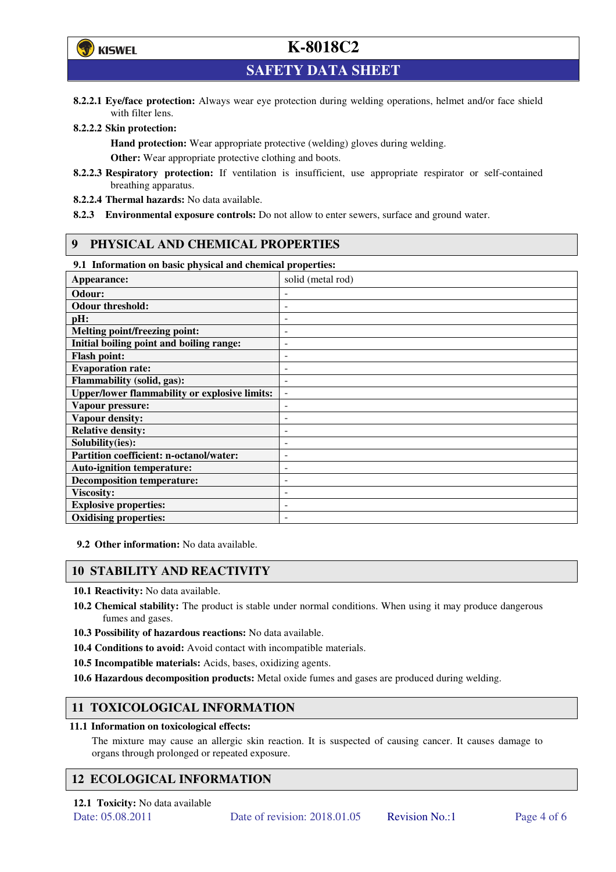

**SAFETY DATA SHEET** 

**8.2.2.1 Eye/face protection:** Always wear eye protection during welding operations, helmet and/or face shield with filter lens.

#### **8.2.2.2 Skin protection:**

**Hand protection:** Wear appropriate protective (welding) gloves during welding. **Other:** Wear appropriate protective clothing and boots.

- **8.2.2.3 Respiratory protection:** If ventilation is insufficient, use appropriate respirator or self-contained breathing apparatus.
- **8.2.2.4 Thermal hazards:** No data available.
- **8.2.3 Environmental exposure controls:** Do not allow to enter sewers, surface and ground water.

#### **9 PHYSICAL AND CHEMICAL PROPERTIES**

#### **9.1 Information on basic physical and chemical properties:**

| Appearance:                                          | solid (metal rod)        |
|------------------------------------------------------|--------------------------|
| Odour:                                               |                          |
| <b>Odour threshold:</b>                              |                          |
| pH:                                                  |                          |
| Melting point/freezing point:                        |                          |
| Initial boiling point and boiling range:             | -                        |
| <b>Flash point:</b>                                  |                          |
| <b>Evaporation rate:</b>                             |                          |
| <b>Flammability (solid, gas):</b>                    |                          |
| <b>Upper/lower flammability or explosive limits:</b> | $\overline{\phantom{0}}$ |
| Vapour pressure:                                     |                          |
| Vapour density:                                      |                          |
| <b>Relative density:</b>                             |                          |
| Solubility(ies):                                     |                          |
| <b>Partition coefficient: n-octanol/water:</b>       | $\overline{a}$           |
| <b>Auto-ignition temperature:</b>                    | ۰                        |
| <b>Decomposition temperature:</b>                    |                          |
| <b>Viscosity:</b>                                    |                          |
| <b>Explosive properties:</b>                         |                          |
| <b>Oxidising properties:</b>                         |                          |

**9.2 Other information:** No data available.

#### **10 STABILITY AND REACTIVITY**

**10.1 Reactivity:** No data available.

- **10.2 Chemical stability:** The product is stable under normal conditions. When using it may produce dangerous fumes and gases.
- **10.3 Possibility of hazardous reactions:** No data available.
- **10.4 Conditions to avoid:** Avoid contact with incompatible materials.
- **10.5 Incompatible materials:** Acids, bases, oxidizing agents.
- **10.6 Hazardous decomposition products:** Metal oxide fumes and gases are produced during welding.

### **11 TOXICOLOGICAL INFORMATION**

#### **11.1 Information on toxicological effects:**

The mixture may cause an allergic skin reaction. It is suspected of causing cancer. It causes damage to organs through prolonged or repeated exposure.

### **12 ECOLOGICAL INFORMATION**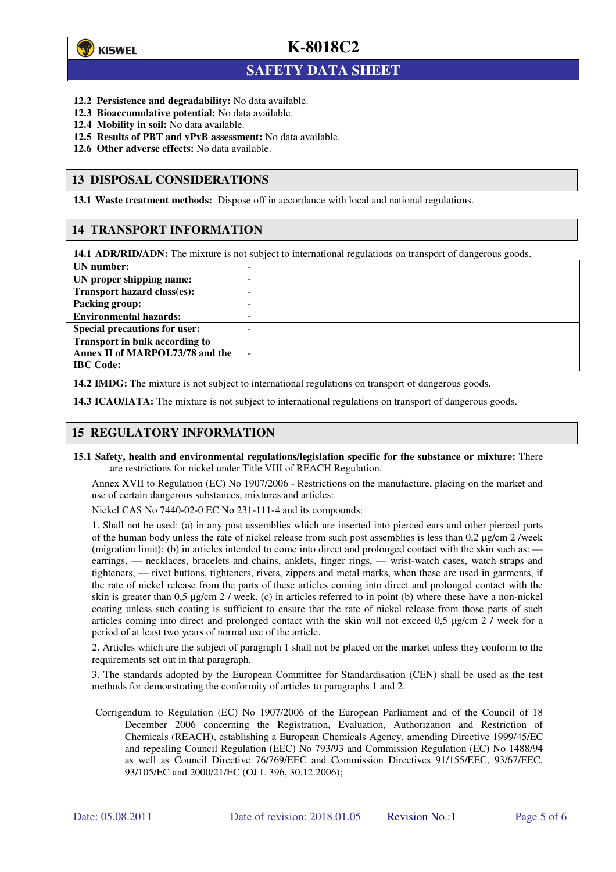

 $\overline{a}$ 

**K-8018C2**

## **SAFETY DATA SHEET**

- **12.2 Persistence and degradability:** No data available.
- **12.3 Bioaccumulative potential:** No data available.
- **12.4 Mobility in soil:** No data available.
- **12.5 Results of PBT and vPvB assessment:** No data available.
- **12.6 Other adverse effects:** No data available.

#### **13 DISPOSAL CONSIDERATIONS**

**13.1 Waste treatment methods:** Dispose off in accordance with local and national regulations.

#### **14 TRANSPORT INFORMATION**

**14.1 ADR/RID/ADN:** The mixture is not subject to international regulations on transport of dangerous goods.

| UN number:                            | - |
|---------------------------------------|---|
| UN proper shipping name:              | - |
| Transport hazard class(es):           | - |
| <b>Packing group:</b>                 | - |
| <b>Environmental hazards:</b>         | - |
| <b>Special precautions for user:</b>  | - |
| <b>Transport in bulk according to</b> |   |
| Annex II of MARPOL73/78 and the       | ÷ |
| <b>IBC</b> Code:                      |   |

**14.2 IMDG:** The mixture is not subject to international regulations on transport of dangerous goods.

**14.3 ICAO/IATA:** The mixture is not subject to international regulations on transport of dangerous goods.

### **15 REGULATORY INFORMATION**

**15.1 Safety, health and environmental regulations/legislation specific for the substance or mixture:** There are restrictions for nickel under Title VIII of REACH Regulation.

Annex XVII to Regulation (EC) No 1907/2006 - Restrictions on the manufacture, placing on the market and use of certain dangerous substances, mixtures and articles:

Nickel CAS No 7440-02-0 EC No 231-111-4 and its compounds:

1. Shall not be used: (a) in any post assemblies which are inserted into pierced ears and other pierced parts of the human body unless the rate of nickel release from such post assemblies is less than  $0.2 \mu$ g/cm  $2$ /week (migration limit); (b) in articles intended to come into direct and prolonged contact with the skin such as: earrings, — necklaces, bracelets and chains, anklets, finger rings, — wrist-watch cases, watch straps and tighteners, — rivet buttons, tighteners, rivets, zippers and metal marks, when these are used in garments, if the rate of nickel release from the parts of these articles coming into direct and prolonged contact with the skin is greater than 0,5 µg/cm 2 / week. (c) in articles referred to in point (b) where these have a non-nickel coating unless such coating is sufficient to ensure that the rate of nickel release from those parts of such articles coming into direct and prolonged contact with the skin will not exceed 0,5 µg/cm 2 / week for a period of at least two years of normal use of the article.

2. Articles which are the subject of paragraph 1 shall not be placed on the market unless they conform to the requirements set out in that paragraph.

3. The standards adopted by the European Committee for Standardisation (CEN) shall be used as the test methods for demonstrating the conformity of articles to paragraphs 1 and 2.

Corrigendum to Regulation (EC) No 1907/2006 of the European Parliament and of the Council of 18 December 2006 concerning the Registration, Evaluation, Authorization and Restriction of Chemicals (REACH), establishing a European Chemicals Agency, amending Directive 1999/45/EC and repealing Council Regulation (EEC) No 793/93 and Commission Regulation (EC) No 1488/94 as well as Council Directive 76/769/EEC and Commission Directives 91/155/EEC, 93/67/EEC, 93/105/EC and 2000/21/EC (OJ L 396, 30.12.2006);